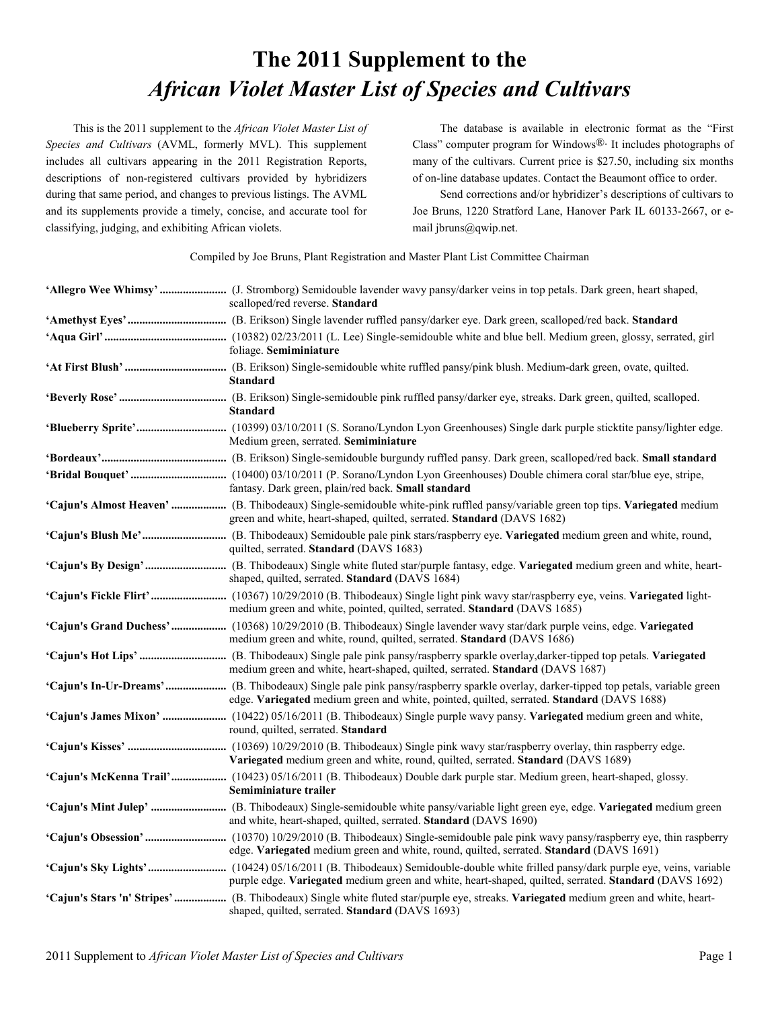## **The 2011 Supplement to the** *African Violet Master List of Species and Cultivars*

This is the 2011 supplement to the *African Violet Master List of Species and Cultivars* (AVML, formerly MVL). This supplement includes all cultivars appearing in the 2011 Registration Reports, descriptions of non-registered cultivars provided by hybridizers during that same period, and changes to previous listings. The AVML and its supplements provide a timely, concise, and accurate tool for classifying, judging, and exhibiting African violets.

The database is available in electronic format as the "First Class" computer program for Windows $\mathbb{R}$ . It includes photographs of many of the cultivars. Current price is \$27.50, including six months of on-line database updates. Contact the Beaumont office to order.

Send corrections and/or hybridizer's descriptions of cultivars to Joe Bruns, 1220 Stratford Lane, Hanover Park IL 60133-2667, or email jbruns@qwip.net.

Compiled by Joe Bruns, Plant Registration and Master Plant List Committee Chairman

| scalloped/red reverse. Standard                                                                                                                                                                          |
|----------------------------------------------------------------------------------------------------------------------------------------------------------------------------------------------------------|
|                                                                                                                                                                                                          |
| foliage. Semiminiature                                                                                                                                                                                   |
| <b>Standard</b>                                                                                                                                                                                          |
| <b>Standard</b>                                                                                                                                                                                          |
| Medium green, serrated. Semiminiature                                                                                                                                                                    |
|                                                                                                                                                                                                          |
| fantasy. Dark green, plain/red back. Small standard                                                                                                                                                      |
| 'Cajun's Almost Heaven'  (B. Thibodeaux) Single-semidouble white-pink ruffled pansy/variable green top tips. Variegated medium<br>green and white, heart-shaped, quilted, serrated. Standard (DAVS 1682) |
| quilted, serrated. Standard (DAVS 1683)                                                                                                                                                                  |
| shaped, quilted, serrated. Standard (DAVS 1684)                                                                                                                                                          |
| medium green and white, pointed, quilted, serrated. Standard (DAVS 1685)                                                                                                                                 |
| 'Cajun's Grand Duchess'  (10368) 10/29/2010 (B. Thibodeaux) Single lavender wavy star/dark purple veins, edge. Variegated<br>medium green and white, round, quilted, serrated. Standard (DAVS 1686)      |
| medium green and white, heart-shaped, quilted, serrated. Standard (DAVS 1687)                                                                                                                            |
| edge. Variegated medium green and white, pointed, quilted, serrated. Standard (DAVS 1688)                                                                                                                |
| round, quilted, serrated. Standard                                                                                                                                                                       |
| Variegated medium green and white, round, quilted, serrated. Standard (DAVS 1689)                                                                                                                        |
| 'Cajun's McKenna Trail' (10423) 05/16/2011 (B. Thibodeaux) Double dark purple star. Medium green, heart-shaped, glossy.<br>Semiminiature trailer                                                         |
| and white, heart-shaped, quilted, serrated. Standard (DAVS 1690)                                                                                                                                         |
| edge. Variegated medium green and white, round, quilted, serrated. Standard (DAVS 1691)                                                                                                                  |
| purple edge. Variegated medium green and white, heart-shaped, quilted, serrated. Standard (DAVS 1692)                                                                                                    |
| 'Cajun's Stars 'n' Stripes'  (B. Thibodeaux) Single white fluted star/purple eye, streaks. Variegated medium green and white, heart-<br>shaped, quilted, serrated. Standard (DAVS 1693)                  |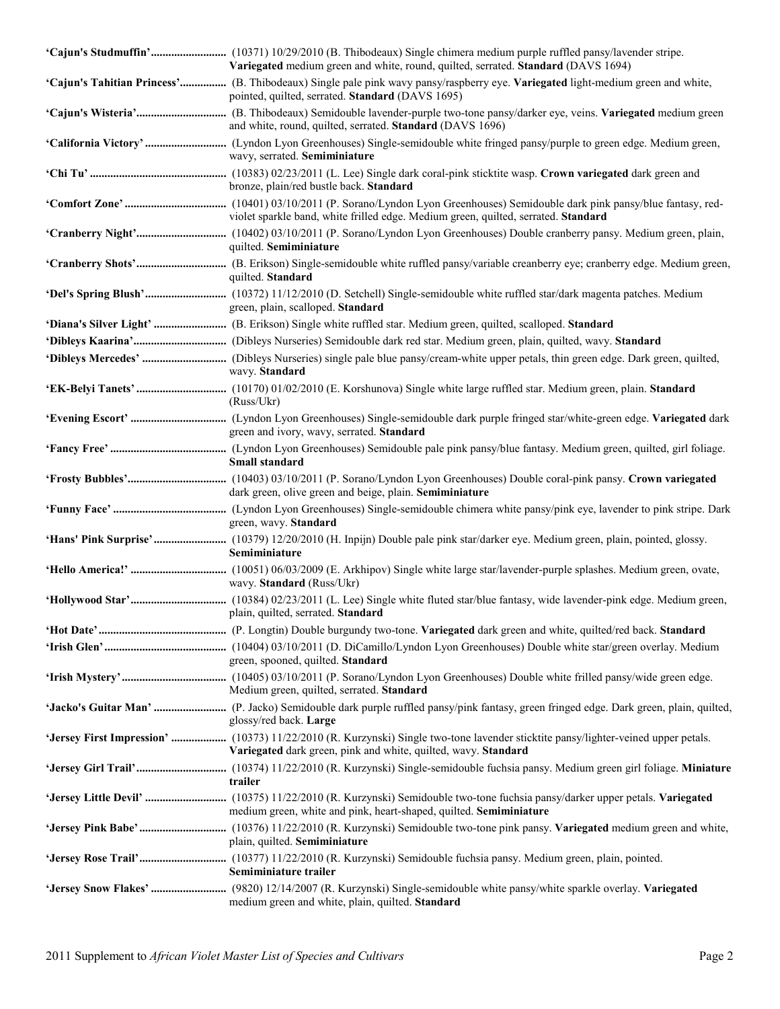| Variegated medium green and white, round, quilted, serrated. Standard (DAVS 1694)                                                                                                   |
|-------------------------------------------------------------------------------------------------------------------------------------------------------------------------------------|
| 'Cajun's Tahitian Princess' (B. Thibodeaux) Single pale pink wavy pansy/raspberry eye. Variegated light-medium green and white,<br>pointed, quilted, serrated. Standard (DAVS 1695) |
| and white, round, quilted, serrated. Standard (DAVS 1696)                                                                                                                           |
| wavy, serrated. Semiminiature                                                                                                                                                       |
| bronze, plain/red bustle back. Standard                                                                                                                                             |
| violet sparkle band, white frilled edge. Medium green, quilted, serrated. Standard                                                                                                  |
| quilted. Semiminiature                                                                                                                                                              |
| quilted. Standard                                                                                                                                                                   |
| green, plain, scalloped. Standard                                                                                                                                                   |
|                                                                                                                                                                                     |
|                                                                                                                                                                                     |
| wavy. Standard                                                                                                                                                                      |
| (Russ/Ukr)                                                                                                                                                                          |
| green and ivory, wavy, serrated. Standard                                                                                                                                           |
| Small standard                                                                                                                                                                      |
| dark green, olive green and beige, plain. Semiminiature                                                                                                                             |
| green, wavy. Standard                                                                                                                                                               |
| Semiminiature                                                                                                                                                                       |
| wavy. Standard (Russ/Ukr)                                                                                                                                                           |
| nain quilted serrated <b>Standard</b>                                                                                                                                               |
|                                                                                                                                                                                     |
| green, spooned, quilted. Standard                                                                                                                                                   |
| Medium green, quilted, serrated. Standard                                                                                                                                           |
| glossy/red back. Large                                                                                                                                                              |
| Variegated dark green, pink and white, quilted, wavy. Standard                                                                                                                      |
| trailer                                                                                                                                                                             |
| medium green, white and pink, heart-shaped, quilted. Semiminiature                                                                                                                  |
| plain, quilted. Semiminiature                                                                                                                                                       |
| Semiminiature trailer                                                                                                                                                               |
| medium green and white, plain, quilted. Standard                                                                                                                                    |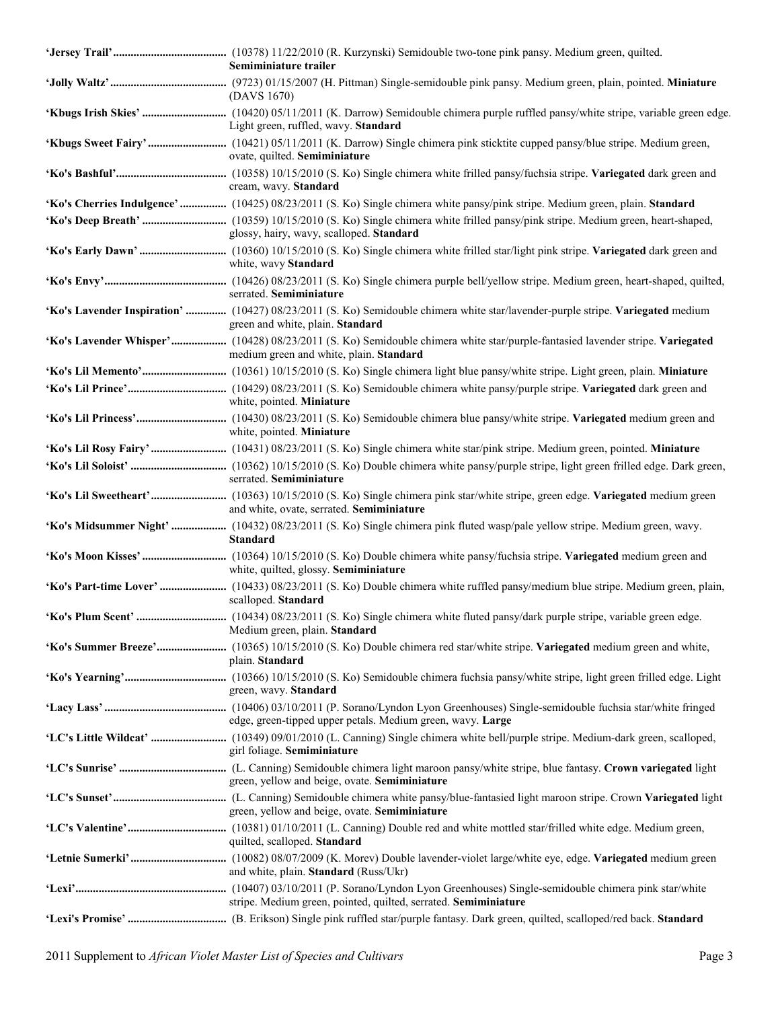| Semiminiature trailer                                                                                                                                                    |
|--------------------------------------------------------------------------------------------------------------------------------------------------------------------------|
| (DAVS 1670)                                                                                                                                                              |
| Light green, ruffled, wavy. Standard                                                                                                                                     |
| ovate, quilted. Semiminiature                                                                                                                                            |
| cream, wavy. Standard                                                                                                                                                    |
| 'Ko's Cherries Indulgence' (10425) 08/23/2011 (S. Ko) Single chimera white pansy/pink stripe. Medium green, plain. Standard                                              |
| glossy, hairy, wavy, scalloped. Standard                                                                                                                                 |
| white, wavy Standard                                                                                                                                                     |
| serrated. Semiminiature                                                                                                                                                  |
| 'Ko's Lavender Inspiration'  (10427) 08/23/2011 (S. Ko) Semidouble chimera white star/lavender-purple stripe. Variegated medium<br>green and white, plain. Standard      |
| 'Ko's Lavender Whisper' (10428) 08/23/2011 (S. Ko) Semidouble chimera white star/purple-fantasied lavender stripe. Variegated<br>medium green and white, plain. Standard |
|                                                                                                                                                                          |
| white, pointed. Miniature                                                                                                                                                |
| white, pointed. Miniature                                                                                                                                                |
|                                                                                                                                                                          |
| serrated. Semiminiature                                                                                                                                                  |
| and white, ovate, serrated. Semiminiature                                                                                                                                |
| 'Ko's Midsummer Night'  (10432) 08/23/2011 (S. Ko) Single chimera pink fluted wasp/pale yellow stripe. Medium green, wavy.<br><b>Standard</b>                            |
| white, quilted, glossy. Semiminiature                                                                                                                                    |
| scalloped. Standard                                                                                                                                                      |
| Medium green, plain. Standard                                                                                                                                            |
| plain. Standard                                                                                                                                                          |
| green, wavy. Standard                                                                                                                                                    |
| edge, green-tipped upper petals. Medium green, wavy. Large                                                                                                               |
| girl foliage. Semiminiature                                                                                                                                              |
| green, yellow and beige, ovate. Semiminiature                                                                                                                            |
| green, yellow and beige, ovate. Semiminiature                                                                                                                            |
| quilted, scalloped. Standard                                                                                                                                             |
| and white, plain. Standard (Russ/Ukr)                                                                                                                                    |
| stripe. Medium green, pointed, quilted, serrated. Semiminiature                                                                                                          |
|                                                                                                                                                                          |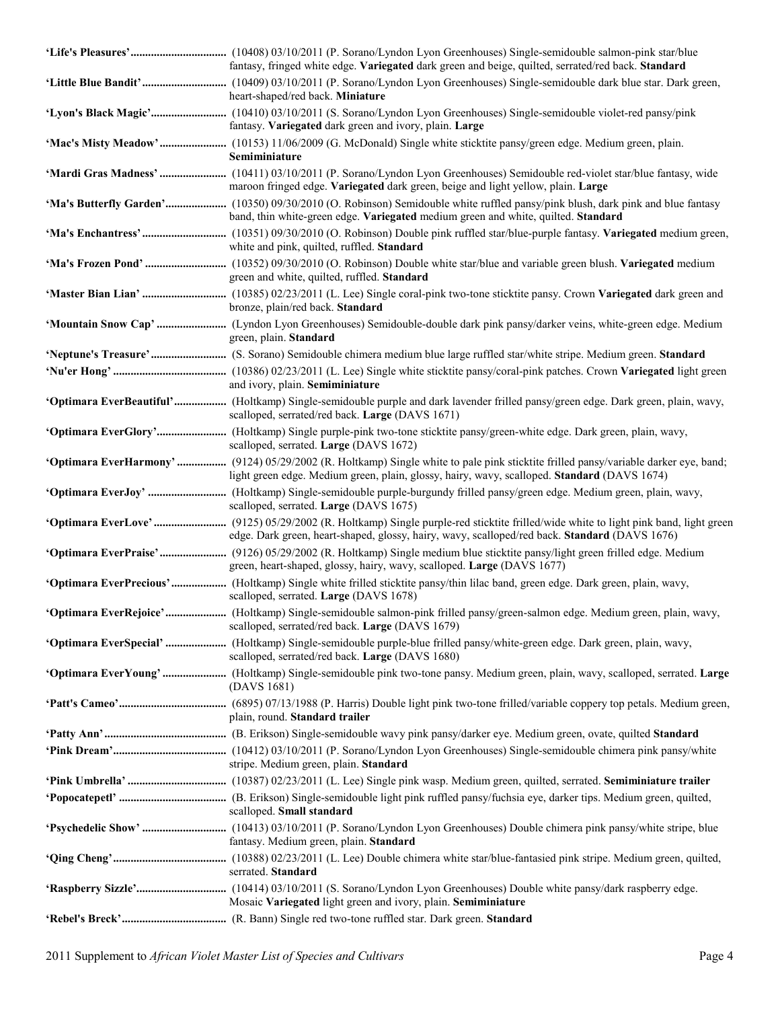| fantasy, fringed white edge. Variegated dark green and beige, quilted, serrated/red back. Standard                                                                                                                                  |
|-------------------------------------------------------------------------------------------------------------------------------------------------------------------------------------------------------------------------------------|
| heart-shaped/red back. Miniature                                                                                                                                                                                                    |
| fantasy. Variegated dark green and ivory, plain. Large                                                                                                                                                                              |
| Semiminiature                                                                                                                                                                                                                       |
| maroon fringed edge. Variegated dark green, beige and light yellow, plain. Large                                                                                                                                                    |
| 'Ma's Butterfly Garden' (10350) 09/30/2010 (O. Robinson) Semidouble white ruffled pansy/pink blush, dark pink and blue fantasy<br>band, thin white-green edge. Variegated medium green and white, quilted. Standard                 |
| white and pink, quilted, ruffled. Standard                                                                                                                                                                                          |
| green and white, quilted, ruffled. Standard                                                                                                                                                                                         |
| bronze, plain/red back. Standard                                                                                                                                                                                                    |
| green, plain. Standard                                                                                                                                                                                                              |
|                                                                                                                                                                                                                                     |
| and ivory, plain. Semiminiature                                                                                                                                                                                                     |
| 'Optimara EverBeautiful' (Holtkamp) Single-semidouble purple and dark lavender frilled pansy/green edge. Dark green, plain, wavy,<br>scalloped, serrated/red back. Large (DAVS 1671)                                                |
| scalloped, serrated. Large (DAVS 1672)                                                                                                                                                                                              |
| 'Optimara EverHarmony'  (9124) 05/29/2002 (R. Holtkamp) Single white to pale pink sticktite frilled pansy/variable darker eye, band;<br>light green edge. Medium green, plain, glossy, hairy, wavy, scalloped. Standard (DAVS 1674) |
| scalloped, serrated. Large (DAVS 1675)                                                                                                                                                                                              |
| edge. Dark green, heart-shaped, glossy, hairy, wavy, scalloped/red back. Standard (DAVS 1676)                                                                                                                                       |
| 'Optimara EverPraise' (9126) 05/29/2002 (R. Holtkamp) Single medium blue sticktite pansy/light green frilled edge. Medium<br>green, heart-shaped, glossy, hairy, wavy, scalloped. Large (DAVS 1677)                                 |
| scalloped, serrated. Large (DAVS 1678)                                                                                                                                                                                              |
| 'Optimara EverRejoice'  (Holtkamp) Single-semidouble salmon-pink frilled pansy/green-salmon edge. Medium green, plain, wavy,<br>scalloped, serrated/red back. Large (DAVS 1679)                                                     |
| 'Optimara EverSpecial'  (Holtkamp) Single-semidouble purple-blue frilled pansy/white-green edge. Dark green, plain, wavy,<br>scalloped, serrated/red back. Large (DAVS 1680)                                                        |
| (DAVS 1681)                                                                                                                                                                                                                         |
| plain, round. Standard trailer                                                                                                                                                                                                      |
|                                                                                                                                                                                                                                     |
| stripe. Medium green, plain. Standard                                                                                                                                                                                               |
|                                                                                                                                                                                                                                     |
| scalloped. Small standard                                                                                                                                                                                                           |
| fantasy. Medium green, plain. Standard                                                                                                                                                                                              |
| serrated. Standard                                                                                                                                                                                                                  |
| Mosaic Variegated light green and ivory, plain. Semiminiature                                                                                                                                                                       |
|                                                                                                                                                                                                                                     |